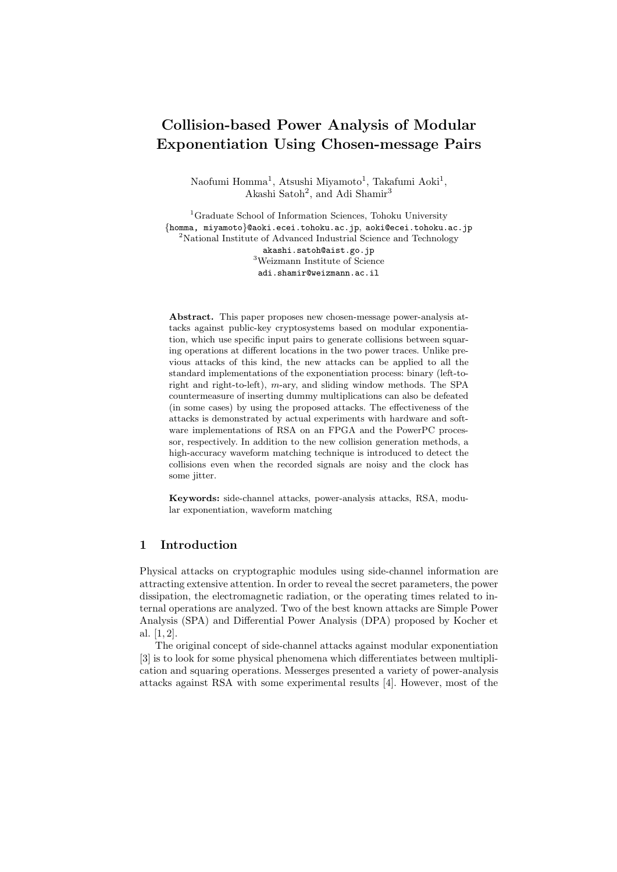# **Collision-based Power Analysis of Modular Exponentiation Using Chosen-message Pairs**

Naofumi Homma<sup>1</sup>, Atsushi Miyamoto<sup>1</sup>, Takafumi Aoki<sup>1</sup>, Akashi Satoh2, and Adi Shamir<sup>3</sup>

<sup>1</sup>Graduate School of Information Sciences, Tohoku University {homma, miyamoto}@aoki.ecei.tohoku.ac.jp, aoki@ecei.tohoku.ac.jp <sup>2</sup>National Institute of Advanced Industrial Science and Technology akashi.satoh@aist.go.jp <sup>3</sup>Weizmann Institute of Science adi.shamir@weizmann.ac.il

**Abstract.** This paper proposes new chosen-message power-analysis attacks against public-key cryptosystems based on modular exponentiation, which use specific input pairs to generate collisions between squaring operations at different locations in the two power traces. Unlike previous attacks of this kind, the new attacks can be applied to all the standard implementations of the exponentiation process: binary (left-toright and right-to-left), m-ary, and sliding window methods. The SPA countermeasure of inserting dummy multiplications can also be defeated (in some cases) by using the proposed attacks. The effectiveness of the attacks is demonstrated by actual experiments with hardware and software implementations of RSA on an FPGA and the PowerPC processor, respectively. In addition to the new collision generation methods, a high-accuracy waveform matching technique is introduced to detect the collisions even when the recorded signals are noisy and the clock has some jitter.

**Keywords:** side-channel attacks, power-analysis attacks, RSA, modular exponentiation, waveform matching

# **1 Introduction**

Physical attacks on cryptographic modules using side-channel information are attracting extensive attention. In order to reveal the secret parameters, the power dissipation, the electromagnetic radiation, or the operating times related to internal operations are analyzed. Two of the best known attacks are Simple Power Analysis (SPA) and Differential Power Analysis (DPA) proposed by Kocher et al. [1, 2].

The original concept of side-channel attacks against modular exponentiation [3] is to look for some physical phenomena which differentiates between multiplication and squaring operations. Messerges presented a variety of power-analysis attacks against RSA with some experimental results [4]. However, most of the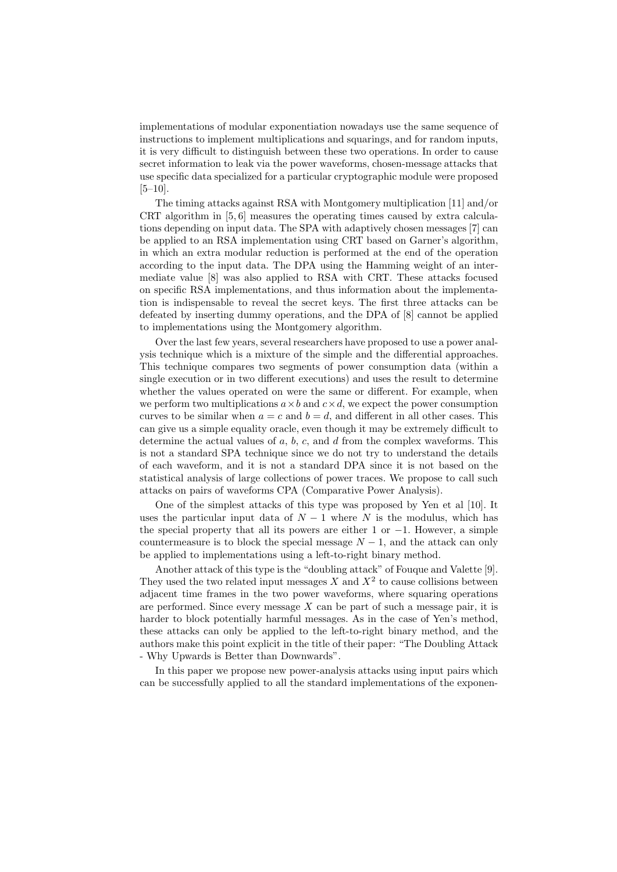implementations of modular exponentiation nowadays use the same sequence of instructions to implement multiplications and squarings, and for random inputs, it is very difficult to distinguish between these two operations. In order to cause secret information to leak via the power waveforms, chosen-message attacks that use specific data specialized for a particular cryptographic module were proposed [5–10].

The timing attacks against RSA with Montgomery multiplication [11] and/or CRT algorithm in [5, 6] measures the operating times caused by extra calculations depending on input data. The SPA with adaptively chosen messages [7] can be applied to an RSA implementation using CRT based on Garner's algorithm, in which an extra modular reduction is performed at the end of the operation according to the input data. The DPA using the Hamming weight of an intermediate value [8] was also applied to RSA with CRT. These attacks focused on specific RSA implementations, and thus information about the implementation is indispensable to reveal the secret keys. The first three attacks can be defeated by inserting dummy operations, and the DPA of [8] cannot be applied to implementations using the Montgomery algorithm.

Over the last few years, several researchers have proposed to use a power analysis technique which is a mixture of the simple and the differential approaches. This technique compares two segments of power consumption data (within a single execution or in two different executions) and uses the result to determine whether the values operated on were the same or different. For example, when we perform two multiplications  $a \times b$  and  $c \times d$ , we expect the power consumption curves to be similar when  $a = c$  and  $b = d$ , and different in all other cases. This can give us a simple equality oracle, even though it may be extremely difficult to determine the actual values of  $a, b, c$ , and  $d$  from the complex waveforms. This is not a standard SPA technique since we do not try to understand the details of each waveform, and it is not a standard DPA since it is not based on the statistical analysis of large collections of power traces. We propose to call such attacks on pairs of waveforms CPA (Comparative Power Analysis).

One of the simplest attacks of this type was proposed by Yen et al [10]. It uses the particular input data of  $N-1$  where N is the modulus, which has the special property that all its powers are either 1 or  $-1$ . However, a simple countermeasure is to block the special message  $N-1$ , and the attack can only be applied to implementations using a left-to-right binary method.

Another attack of this type is the "doubling attack" of Fouque and Valette [9]. They used the two related input messages  $X$  and  $X^2$  to cause collisions between adjacent time frames in the two power waveforms, where squaring operations are performed. Since every message  $X$  can be part of such a message pair, it is harder to block potentially harmful messages. As in the case of Yen's method, these attacks can only be applied to the left-to-right binary method, and the authors make this point explicit in the title of their paper: "The Doubling Attack - Why Upwards is Better than Downwards".

In this paper we propose new power-analysis attacks using input pairs which can be successfully applied to all the standard implementations of the exponen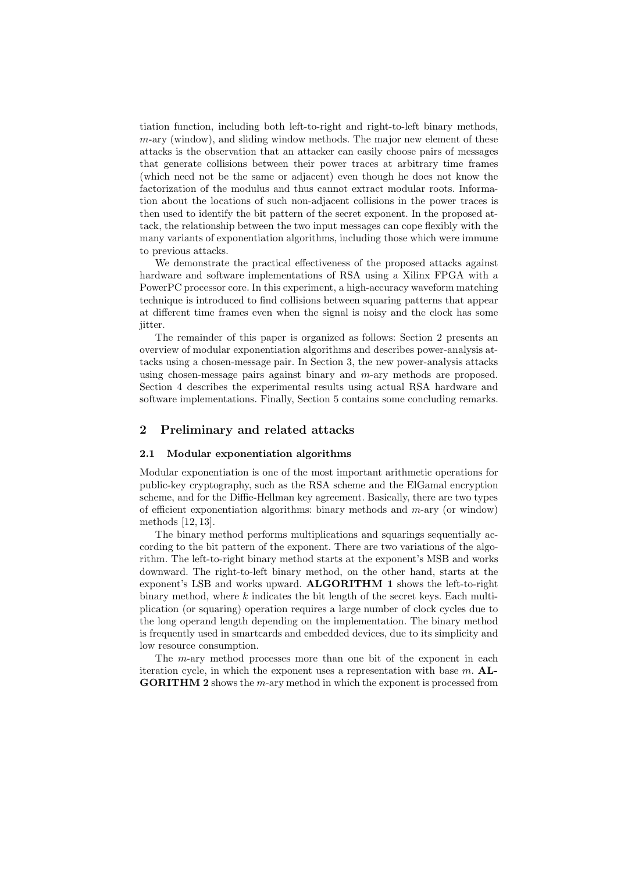tiation function, including both left-to-right and right-to-left binary methods,  $m$ -ary (window), and sliding window methods. The major new element of these attacks is the observation that an attacker can easily choose pairs of messages that generate collisions between their power traces at arbitrary time frames (which need not be the same or adjacent) even though he does not know the factorization of the modulus and thus cannot extract modular roots. Information about the locations of such non-adjacent collisions in the power traces is then used to identify the bit pattern of the secret exponent. In the proposed attack, the relationship between the two input messages can cope flexibly with the many variants of exponentiation algorithms, including those which were immune to previous attacks.

We demonstrate the practical effectiveness of the proposed attacks against hardware and software implementations of RSA using a Xilinx FPGA with a PowerPC processor core. In this experiment, a high-accuracy waveform matching technique is introduced to find collisions between squaring patterns that appear at different time frames even when the signal is noisy and the clock has some jitter.

The remainder of this paper is organized as follows: Section 2 presents an overview of modular exponentiation algorithms and describes power-analysis attacks using a chosen-message pair. In Section 3, the new power-analysis attacks using chosen-message pairs against binary and  $m$ -ary methods are proposed. Section 4 describes the experimental results using actual RSA hardware and software implementations. Finally, Section 5 contains some concluding remarks.

# **2 Preliminary and related attacks**

# **2.1 Modular exponentiation algorithms**

Modular exponentiation is one of the most important arithmetic operations for public-key cryptography, such as the RSA scheme and the ElGamal encryption scheme, and for the Diffie-Hellman key agreement. Basically, there are two types of efficient exponentiation algorithms: binary methods and  $m$ -ary (or window) methods [12, 13].

The binary method performs multiplications and squarings sequentially according to the bit pattern of the exponent. There are two variations of the algorithm. The left-to-right binary method starts at the exponent's MSB and works downward. The right-to-left binary method, on the other hand, starts at the exponent's LSB and works upward. **ALGORITHM 1** shows the left-to-right binary method, where  $k$  indicates the bit length of the secret keys. Each multiplication (or squaring) operation requires a large number of clock cycles due to the long operand length depending on the implementation. The binary method is frequently used in smartcards and embedded devices, due to its simplicity and low resource consumption.

The m-ary method processes more than one bit of the exponent in each iteration cycle, in which the exponent uses a representation with base m. **AL-GORITHM 2** shows the m-ary method in which the exponent is processed from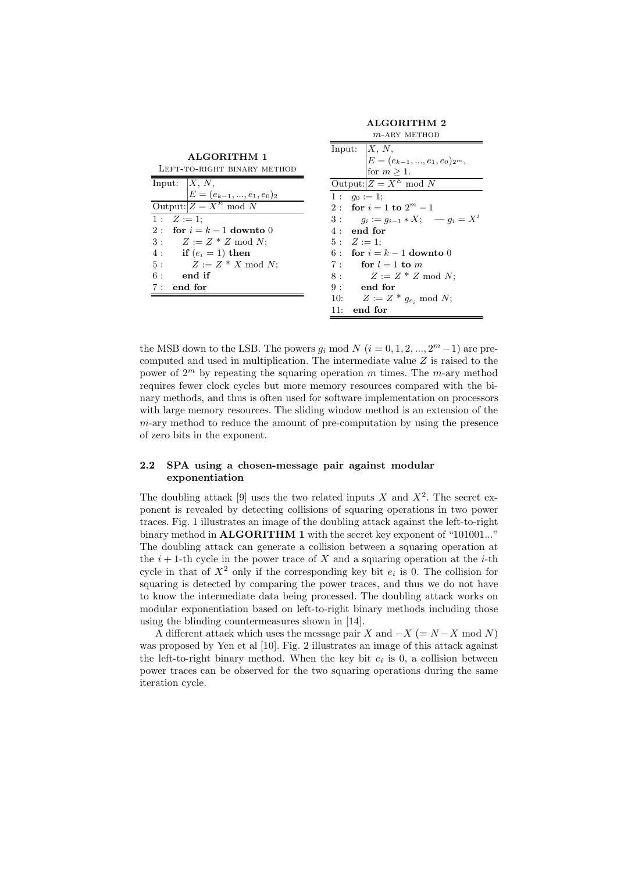| ALGORITHM 1<br>LEFT-TO-RIGHT BINARY METHOD | Input: $\vert X, N, \vert$<br>$E = (e_{k-1}, , e_1, e_0)_{2^m},$<br>for $m > 1$ . |
|--------------------------------------------|-----------------------------------------------------------------------------------|
| Input: $\vert X, N, \vert$                 | Output: $Z = X^E$ mod N                                                           |
| $E = (e_{k-1},,e_1,e_0)_2$                 | $1: q_0 := 1;$                                                                    |
| Output: $Z = X^E \mod N$                   | 2 : for $i = 1$ to $2^m - 1$                                                      |
| $1: Z := 1;$                               | 3: $q_i := q_{i-1} * X; -q_i = X^i$                                               |
| 2: for $i = k - 1$ downto 0                | $4:$ end for                                                                      |
| 3 : $Z := Z * Z \mod N$ ;                  | $5: Z := 1:$                                                                      |
| 4: if $(e_i = 1)$ then                     | 6: for $i = k - 1$ downto 0                                                       |
| 5 : $Z := Z * X \mod N$ ;                  | 7: for $l = 1$ to m                                                               |
| 6:<br>end if                               | 8 : $Z := Z * Z \mod N$ ;                                                         |
| $7:$ end for                               | $9:$ end for                                                                      |
|                                            | 10: $Z := Z * q_{e_i} \mod N;$                                                    |
|                                            | end for<br>11:                                                                    |

**ALGORITHM 2**  $m$ -ARY METHOD

the MSB down to the LSB. The powers  $g_i \mod N$   $(i = 0, 1, 2, ..., 2<sup>m</sup> - 1)$  are precomputed and used in multiplication. The intermediate value  $Z$  is raised to the power of  $2^m$  by repeating the squaring operation m times. The m-ary method requires fewer clock cycles but more memory resources compared with the binary methods, and thus is often used for software implementation on processors with large memory resources. The sliding window method is an extension of the  $m$ -ary method to reduce the amount of pre-computation by using the presence of zero bits in the exponent.

# **2.2 SPA using a chosen-message pair against modular exponentiation**

The doubling attack [9] uses the two related inputs X and  $X^2$ . The secret exponent is revealed by detecting collisions of squaring operations in two power traces. Fig. 1 illustrates an image of the doubling attack against the left-to-right binary method in **ALGORITHM 1** with the secret key exponent of "101001..." The doubling attack can generate a collision between a squaring operation at the  $i + 1$ -th cycle in the power trace of X and a squaring operation at the *i*-th cycle in that of  $X^2$  only if the corresponding key bit  $e_i$  is 0. The collision for squaring is detected by comparing the power traces, and thus we do not have to know the intermediate data being processed. The doubling attack works on modular exponentiation based on left-to-right binary methods including those using the blinding countermeasures shown in [14].

A different attack which uses the message pair X and  $-X (= N - X \text{ mod } N)$ was proposed by Yen et al [10]. Fig. 2 illustrates an image of this attack against the left-to-right binary method. When the key bit  $e_i$  is 0, a collision between power traces can be observed for the two squaring operations during the same iteration cycle.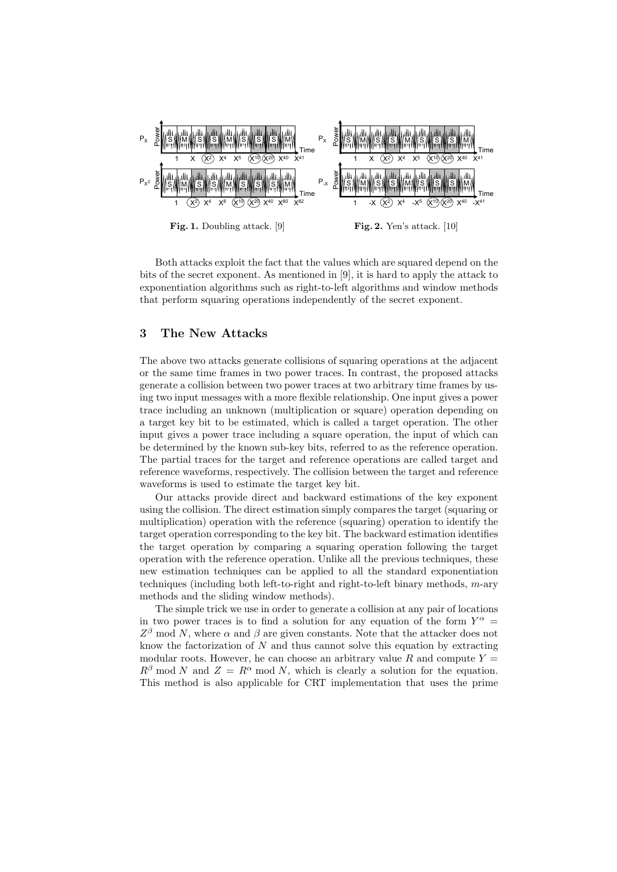

**Fig. 1.** Doubling attack. [9]

**Fig. 2.** Yen's attack. [10]

Both attacks exploit the fact that the values which are squared depend on the bits of the secret exponent. As mentioned in [9], it is hard to apply the attack to exponentiation algorithms such as right-to-left algorithms and window methods that perform squaring operations independently of the secret exponent.

# **3 The New Attacks**

The above two attacks generate collisions of squaring operations at the adjacent or the same time frames in two power traces. In contrast, the proposed attacks generate a collision between two power traces at two arbitrary time frames by using two input messages with a more flexible relationship. One input gives a power trace including an unknown (multiplication or square) operation depending on a target key bit to be estimated, which is called a target operation. The other input gives a power trace including a square operation, the input of which can be determined by the known sub-key bits, referred to as the reference operation. The partial traces for the target and reference operations are called target and reference waveforms, respectively. The collision between the target and reference waveforms is used to estimate the target key bit.

Our attacks provide direct and backward estimations of the key exponent using the collision. The direct estimation simply compares the target (squaring or multiplication) operation with the reference (squaring) operation to identify the target operation corresponding to the key bit. The backward estimation identifies the target operation by comparing a squaring operation following the target operation with the reference operation. Unlike all the previous techniques, these new estimation techniques can be applied to all the standard exponentiation techniques (including both left-to-right and right-to-left binary methods, m-ary methods and the sliding window methods).

The simple trick we use in order to generate a collision at any pair of locations in two power traces is to find a solution for any equation of the form  $Y^{\alpha}$  =  $Z^{\beta}$  mod N, where  $\alpha$  and  $\beta$  are given constants. Note that the attacker does not know the factorization of  $N$  and thus cannot solve this equation by extracting modular roots. However, he can choose an arbitrary value R and compute  $Y =$  $R^{\beta}$  mod N and  $Z = R^{\alpha}$  mod N, which is clearly a solution for the equation. This method is also applicable for CRT implementation that uses the prime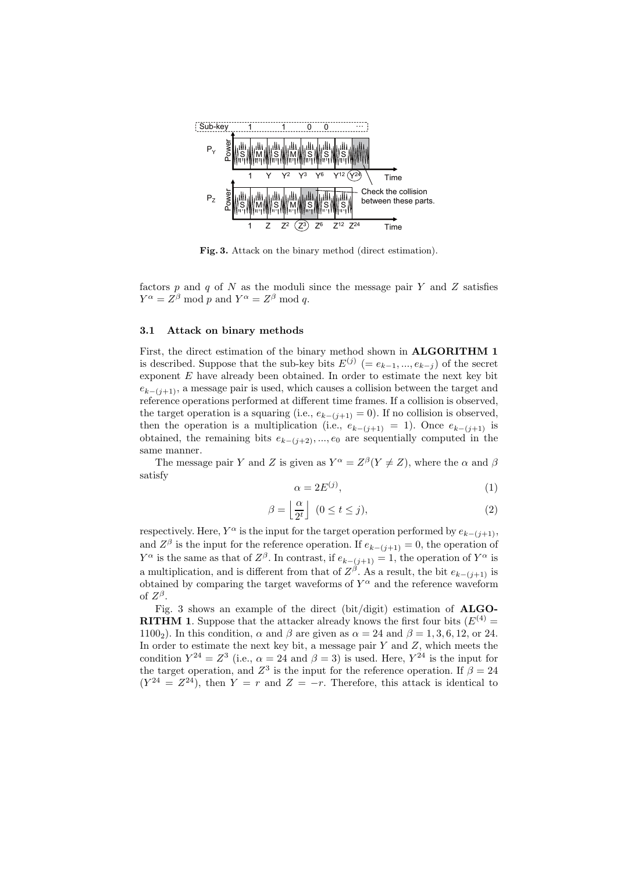

**Fig. 3.** Attack on the binary method (direct estimation).

factors p and q of N as the moduli since the message pair Y and Z satisfies  $Y^{\alpha} = Z^{\beta} \text{ mod } p$  and  $Y^{\alpha} = Z^{\beta} \text{ mod } q$ .

#### **3.1 Attack on binary methods**

First, the direct estimation of the binary method shown in **ALGORITHM 1** is described. Suppose that the sub-key bits  $E^{(j)}$  (=  $e_{k-1},...,e_{k-j}$ ) of the secret exponent  $E$  have already been obtained. In order to estimate the next key bit  $e_{k-(i+1)}$ , a message pair is used, which causes a collision between the target and reference operations performed at different time frames. If a collision is observed, the target operation is a squaring (i.e.,  $e_{k-(j+1)} = 0$ ). If no collision is observed, then the operation is a multiplication (i.e.,  $e_{k-(j+1)} = 1$ ). Once  $e_{k-(j+1)}$  is obtained, the remaining bits  $e_{k-(j+2)},...,e_0$  are sequentially computed in the same manner.

The message pair Y and Z is given as  $Y^{\alpha} = Z^{\beta}(Y \neq Z)$ , where the  $\alpha$  and  $\beta$ satisfy

$$
\alpha = 2E^{(j)},\tag{1}
$$

$$
\beta = \left\lfloor \frac{\alpha}{2^t} \right\rfloor \ (0 \le t \le j),\tag{2}
$$

respectively. Here,  $Y^{\alpha}$  is the input for the target operation performed by  $e_{k-(j+1)}$ , and  $Z^{\beta}$  is the input for the reference operation. If  $e_{k-(j+1)} = 0$ , the operation of  $Y^{\alpha}$  is the same as that of  $Z^{\beta}$ . In contrast, if  $e_{k-(j+1)} = 1$ , the operation of  $Y^{\alpha}$  is a multiplication, and is different from that of  $Z^{\beta}$ . As a result, the bit  $e_{k-(j+1)}$  is obtained by comparing the target waveforms of  $Y^{\alpha}$  and the reference waveform of  $Z^{\beta}$ .

Fig. 3 shows an example of the direct (bit/digit) estimation of **ALGO-RITHM 1**. Suppose that the attacker already knows the first four bits  $(E^{(4)} =$ 1100<sub>2</sub>). In this condition,  $\alpha$  and  $\beta$  are given as  $\alpha = 24$  and  $\beta = 1, 3, 6, 12$ , or 24. In order to estimate the next key bit, a message pair  $Y$  and  $Z$ , which meets the condition  $Y^{24} = Z^3$  (i.e.,  $\alpha = 24$  and  $\beta = 3$ ) is used. Here,  $Y^{24}$  is the input for the target operation, and  $Z^3$  is the input for the reference operation. If  $\beta = 24$  $(Y^{24} = Z^{24})$ , then  $Y = r$  and  $Z = -r$ . Therefore, this attack is identical to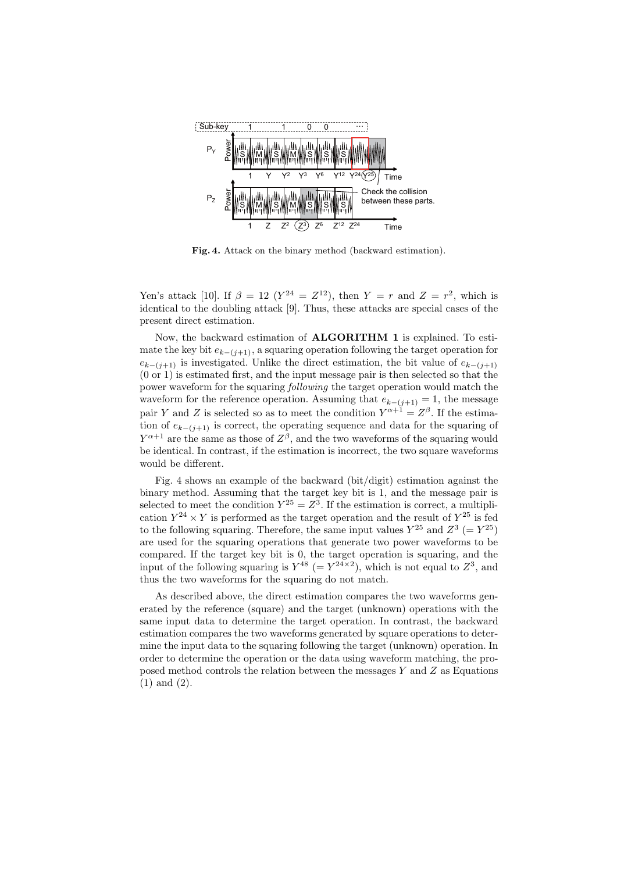

**Fig. 4.** Attack on the binary method (backward estimation).

Yen's attack [10]. If  $\beta = 12$  ( $Y^{24} = Z^{12}$ ), then  $Y = r$  and  $Z = r^2$ , which is identical to the doubling attack [9]. Thus, these attacks are special cases of the present direct estimation.

Now, the backward estimation of **ALGORITHM 1** is explained. To estimate the key bit  $e_{k-(j+1)}$ , a squaring operation following the target operation for  $e_{k-(i+1)}$  is investigated. Unlike the direct estimation, the bit value of  $e_{k-(i+1)}$ (0 or 1) is estimated first, and the input message pair is then selected so that the power waveform for the squaring following the target operation would match the waveform for the reference operation. Assuming that  $e_{k-(j+1)} = 1$ , the message pair Y and Z is selected so as to meet the condition  $Y^{\alpha+1} = Z^{\beta}$ . If the estimation of  $e_{k-(i+1)}$  is correct, the operating sequence and data for the squaring of  $Y^{\alpha+1}$  are the same as those of  $Z^{\beta}$ , and the two waveforms of the squaring would be identical. In contrast, if the estimation is incorrect, the two square waveforms would be different.

Fig. 4 shows an example of the backward (bit/digit) estimation against the binary method. Assuming that the target key bit is 1, and the message pair is selected to meet the condition  $Y^{25} = Z^3$ . If the estimation is correct, a multiplication  $Y^{24} \times Y$  is performed as the target operation and the result of  $Y^{25}$  is fed to the following squaring. Therefore, the same input values  $Y^{25}$  and  $Z^{3}$  (=  $Y^{25}$ ) are used for the squaring operations that generate two power waveforms to be compared. If the target key bit is 0, the target operation is squaring, and the input of the following squaring is  $Y^{48} (= Y^{24\times2})$ , which is not equal to  $Z^3$ , and thus the two waveforms for the squaring do not match.

As described above, the direct estimation compares the two waveforms generated by the reference (square) and the target (unknown) operations with the same input data to determine the target operation. In contrast, the backward estimation compares the two waveforms generated by square operations to determine the input data to the squaring following the target (unknown) operation. In order to determine the operation or the data using waveform matching, the proposed method controls the relation between the messages  $Y$  and  $Z$  as Equations (1) and (2).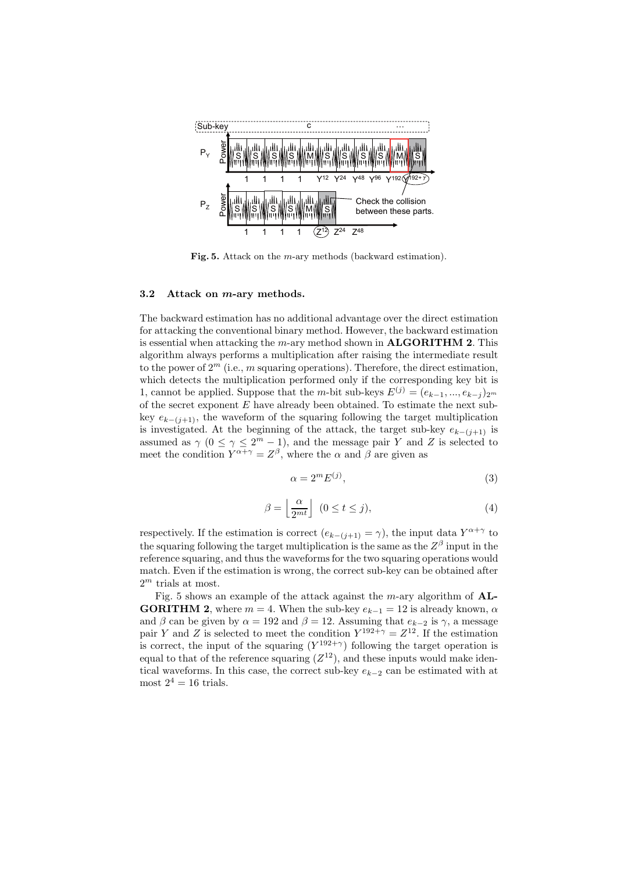

**Fig. 5.** Attack on the m-ary methods (backward estimation).

#### **3.2 Attack on** *m***-ary methods.**

The backward estimation has no additional advantage over the direct estimation for attacking the conventional binary method. However, the backward estimation is essential when attacking the m-ary method shown in **ALGORITHM 2**. This algorithm always performs a multiplication after raising the intermediate result to the power of  $2^m$  (i.e., m squaring operations). Therefore, the direct estimation, which detects the multiplication performed only if the corresponding key bit is 1, cannot be applied. Suppose that the m-bit sub-keys  $E^{(j)} = (e_{k-1}, ..., e_{k-j})_{2^m}$ of the secret exponent  $E$  have already been obtained. To estimate the next subkey  $e_{k-(i+1)}$ , the waveform of the squaring following the target multiplication is investigated. At the beginning of the attack, the target sub-key  $e_{k-(i+1)}$  is assumed as  $\gamma$  ( $0 \leq \gamma \leq 2^m - 1$ ), and the message pair Y and Z is selected to meet the condition  $Y^{\alpha+\gamma} = Z^{\beta}$ , where the  $\alpha$  and  $\beta$  are given as

$$
\alpha = 2^m E^{(j)},\tag{3}
$$

$$
\beta = \left\lfloor \frac{\alpha}{2^{mt}} \right\rfloor \ (0 \le t \le j), \tag{4}
$$

respectively. If the estimation is correct  $(e_{k-(j+1)} = \gamma)$ , the input data  $Y^{\alpha+\gamma}$  to the squaring following the target multiplication is the same as the  $Z^{\beta}$  input in the reference squaring, and thus the waveforms for the two squaring operations would match. Even if the estimation is wrong, the correct sub-key can be obtained after  $2^m$  trials at most.

Fig. 5 shows an example of the attack against the m-ary algorithm of **AL-GORITHM 2**, where  $m = 4$ . When the sub-key  $e_{k-1} = 12$  is already known,  $\alpha$ and β can be given by  $\alpha = 192$  and  $\beta = 12$ . Assuming that  $e_{k-2}$  is  $\gamma$ , a message pair Y and Z is selected to meet the condition  $Y^{192+\gamma} = Z^{12}$ . If the estimation is correct, the input of the squaring  $(Y^{192+\gamma})$  following the target operation is equal to that of the reference squaring  $(Z^{12})$ , and these inputs would make identical waveforms. In this case, the correct sub-key  $e_{k-2}$  can be estimated with at most  $2^4 = 16$  trials.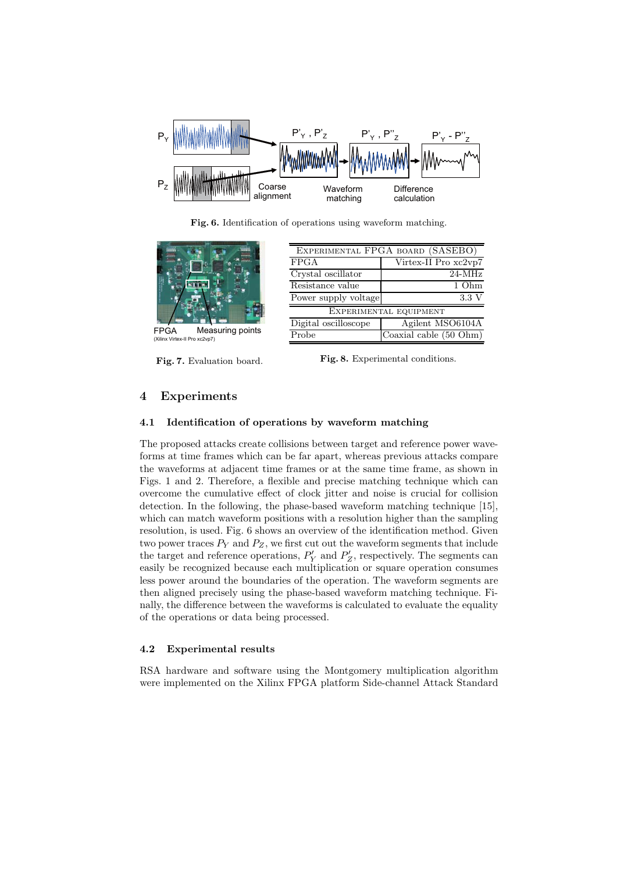

**Fig. 6.** Identification of operations using waveform matching.



FPGA (Xilinx Virtex-II Pro xc2vp7) Measuring points

**Fig. 7.** Evaluation board.

| EXPERIMENTAL FPGA BOARD (SASEBO) |                        |  |  |  |  |  |
|----------------------------------|------------------------|--|--|--|--|--|
| <b>FPGA</b>                      | Virtex-II Pro xc2vp7   |  |  |  |  |  |
| Crystal oscillator               | $24-MHz$               |  |  |  |  |  |
| Resistance value                 | 1 Ohm                  |  |  |  |  |  |
| Power supply voltage             | 3.3 V                  |  |  |  |  |  |
| EXPERIMENTAL EQUIPMENT           |                        |  |  |  |  |  |
| Digital oscilloscope             | Agilent MSO6104A       |  |  |  |  |  |
| Probe                            | Coaxial cable (50 Ohm) |  |  |  |  |  |

#### **Fig. 8.** Experimental conditions.

# **4 Experiments**

### **4.1 Identification of operations by waveform matching**

The proposed attacks create collisions between target and reference power waveforms at time frames which can be far apart, whereas previous attacks compare the waveforms at adjacent time frames or at the same time frame, as shown in Figs. 1 and 2. Therefore, a flexible and precise matching technique which can overcome the cumulative effect of clock jitter and noise is crucial for collision detection. In the following, the phase-based waveform matching technique [15], which can match waveform positions with a resolution higher than the sampling resolution, is used. Fig. 6 shows an overview of the identification method. Given two power traces  $P_Y$  and  $P_Z$ , we first cut out the waveform segments that include the target and reference operations,  $P'_Y$  and  $P'_Z$ , respectively. The segments can easily be recognized because each multiplication or square operation consumes less power around the boundaries of the operation. The waveform segments are then aligned precisely using the phase-based waveform matching technique. Finally, the difference between the waveforms is calculated to evaluate the equality of the operations or data being processed.

### **4.2 Experimental results**

RSA hardware and software using the Montgomery multiplication algorithm were implemented on the Xilinx FPGA platform Side-channel Attack Standard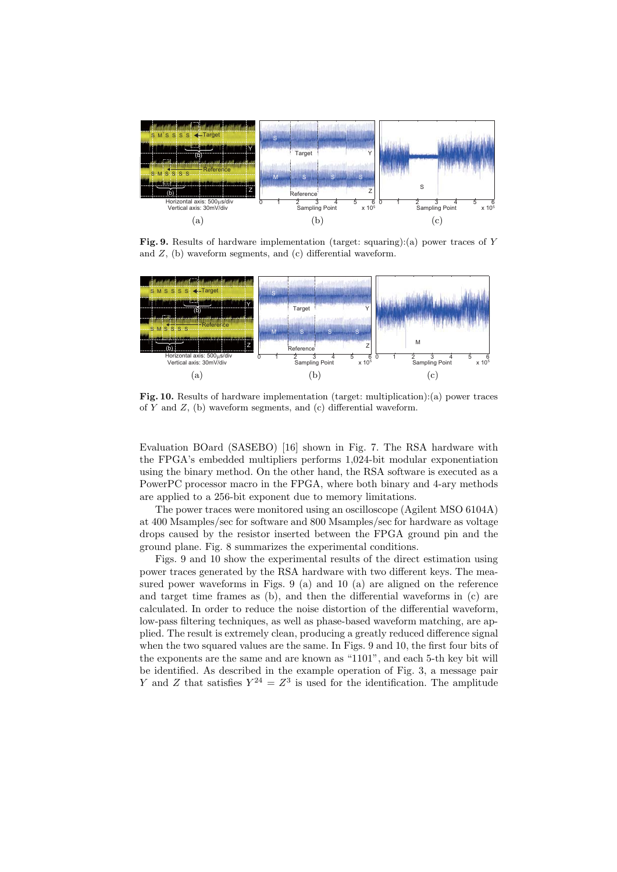

Fig. 9. Results of hardware implementation (target: squaring):(a) power traces of Y and Z, (b) waveform segments, and (c) differential waveform.



**Fig. 10.** Results of hardware implementation (target: multiplication):(a) power traces of Y and Z, (b) waveform segments, and (c) differential waveform.

Evaluation BOard (SASEBO) [16] shown in Fig. 7. The RSA hardware with the FPGA's embedded multipliers performs 1,024-bit modular exponentiation using the binary method. On the other hand, the RSA software is executed as a PowerPC processor macro in the FPGA, where both binary and 4-ary methods are applied to a 256-bit exponent due to memory limitations.

The power traces were monitored using an oscilloscope (Agilent MSO 6104A) at 400 Msamples/sec for software and 800 Msamples/sec for hardware as voltage drops caused by the resistor inserted between the FPGA ground pin and the ground plane. Fig. 8 summarizes the experimental conditions.

Figs. 9 and 10 show the experimental results of the direct estimation using power traces generated by the RSA hardware with two different keys. The measured power waveforms in Figs. 9 (a) and 10 (a) are aligned on the reference and target time frames as (b), and then the differential waveforms in (c) are calculated. In order to reduce the noise distortion of the differential waveform, low-pass filtering techniques, as well as phase-based waveform matching, are applied. The result is extremely clean, producing a greatly reduced difference signal when the two squared values are the same. In Figs. 9 and 10, the first four bits of the exponents are the same and are known as "1101", and each 5-th key bit will be identified. As described in the example operation of Fig. 3, a message pair Y and Z that satisfies  $Y^{24} = Z^3$  is used for the identification. The amplitude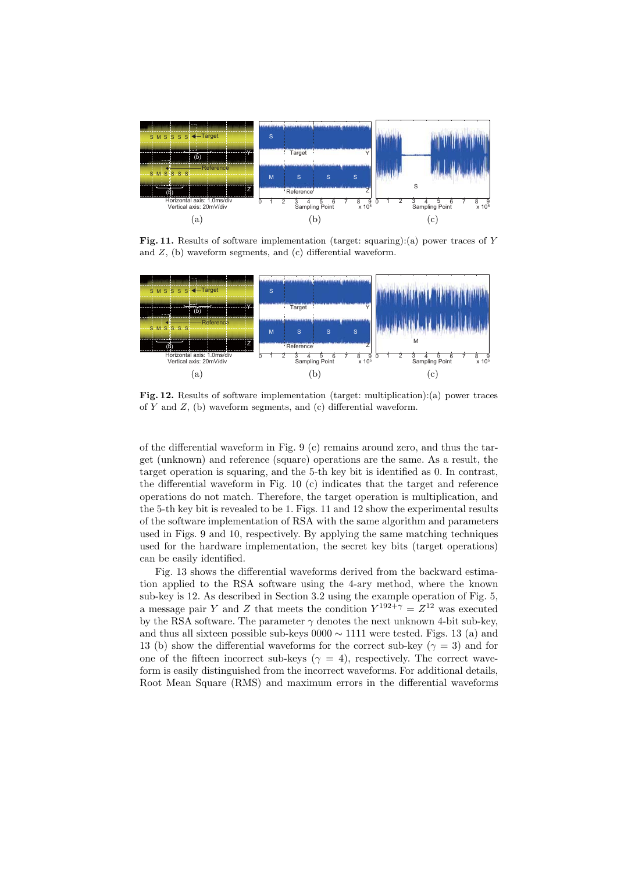

**Fig. 11.** Results of software implementation (target: squaring):(a) power traces of Y and Z, (b) waveform segments, and (c) differential waveform.



Fig. 12. Results of software implementation (target: multiplication):(a) power traces of  $Y$  and  $Z$ , (b) waveform segments, and (c) differential waveform.

of the differential waveform in Fig. 9 (c) remains around zero, and thus the target (unknown) and reference (square) operations are the same. As a result, the target operation is squaring, and the 5-th key bit is identified as 0. In contrast, the differential waveform in Fig. 10 (c) indicates that the target and reference operations do not match. Therefore, the target operation is multiplication, and the 5-th key bit is revealed to be 1. Figs. 11 and 12 show the experimental results of the software implementation of RSA with the same algorithm and parameters used in Figs. 9 and 10, respectively. By applying the same matching techniques used for the hardware implementation, the secret key bits (target operations) can be easily identified.

Fig. 13 shows the differential waveforms derived from the backward estimation applied to the RSA software using the 4-ary method, where the known sub-key is 12. As described in Section 3.2 using the example operation of Fig. 5, a message pair Y and Z that meets the condition  $Y^{192+\gamma} = Z^{12}$  was executed by the RSA software. The parameter  $\gamma$  denotes the next unknown 4-bit sub-key, and thus all sixteen possible sub-keys  $0000 \sim 1111$  were tested. Figs. 13 (a) and 13 (b) show the differential waveforms for the correct sub-key ( $\gamma = 3$ ) and for one of the fifteen incorrect sub-keys ( $\gamma = 4$ ), respectively. The correct waveform is easily distinguished from the incorrect waveforms. For additional details, Root Mean Square (RMS) and maximum errors in the differential waveforms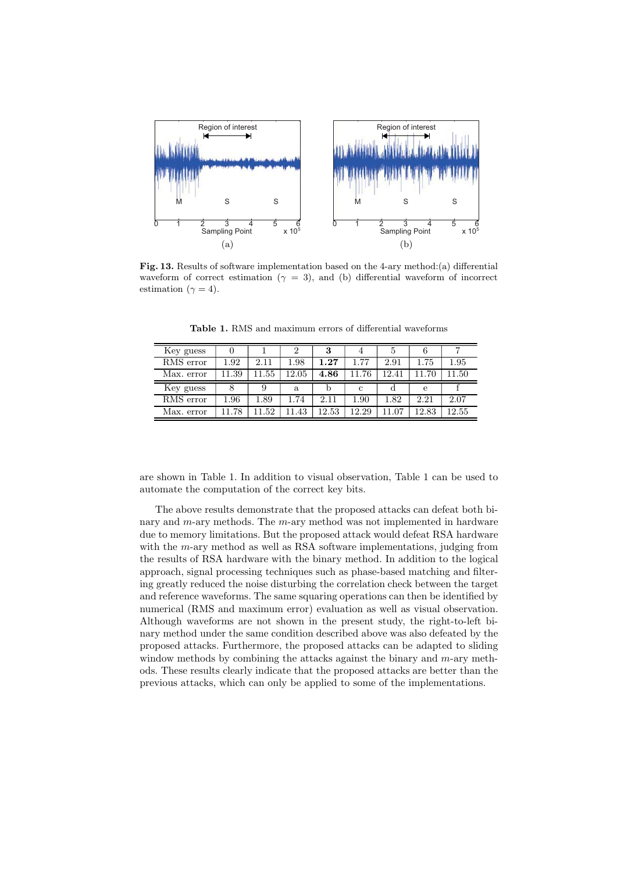

**Fig. 13.** Results of software implementation based on the 4-ary method:(a) differential waveform of correct estimation ( $\gamma = 3$ ), and (b) differential waveform of incorrect estimation ( $\gamma = 4$ ).

| Key guess  |      |       |       | 3    |              |       |              |       |
|------------|------|-------|-------|------|--------------|-------|--------------|-------|
| RMS error  | 1.92 | 2.11  | 1.98  | 1.27 | .77          | 2.91  | 1.75         | 1.95  |
| Max. error | 1.39 | 11.55 | 12.05 | 4.86 | 11.76        | 12.41 | 11.70        | 11.50 |
|            |      |       |       |      |              |       |              |       |
| Key guess  |      |       | a.    | b    | $\mathbf{c}$ |       | $\mathbf{e}$ |       |
| RMS error  | 1.96 | 1.89  | 1.74  | 2.11 | $1.90\,$     | 1.82  | 2.21         | 2.07  |

**Table 1.** RMS and maximum errors of differential waveforms

are shown in Table 1. In addition to visual observation, Table 1 can be used to automate the computation of the correct key bits.

The above results demonstrate that the proposed attacks can defeat both binary and m-ary methods. The m-ary method was not implemented in hardware due to memory limitations. But the proposed attack would defeat RSA hardware with the  $m$ -ary method as well as RSA software implementations, judging from the results of RSA hardware with the binary method. In addition to the logical approach, signal processing techniques such as phase-based matching and filtering greatly reduced the noise disturbing the correlation check between the target and reference waveforms. The same squaring operations can then be identified by numerical (RMS and maximum error) evaluation as well as visual observation. Although waveforms are not shown in the present study, the right-to-left binary method under the same condition described above was also defeated by the proposed attacks. Furthermore, the proposed attacks can be adapted to sliding window methods by combining the attacks against the binary and  $m$ -ary methods. These results clearly indicate that the proposed attacks are better than the previous attacks, which can only be applied to some of the implementations.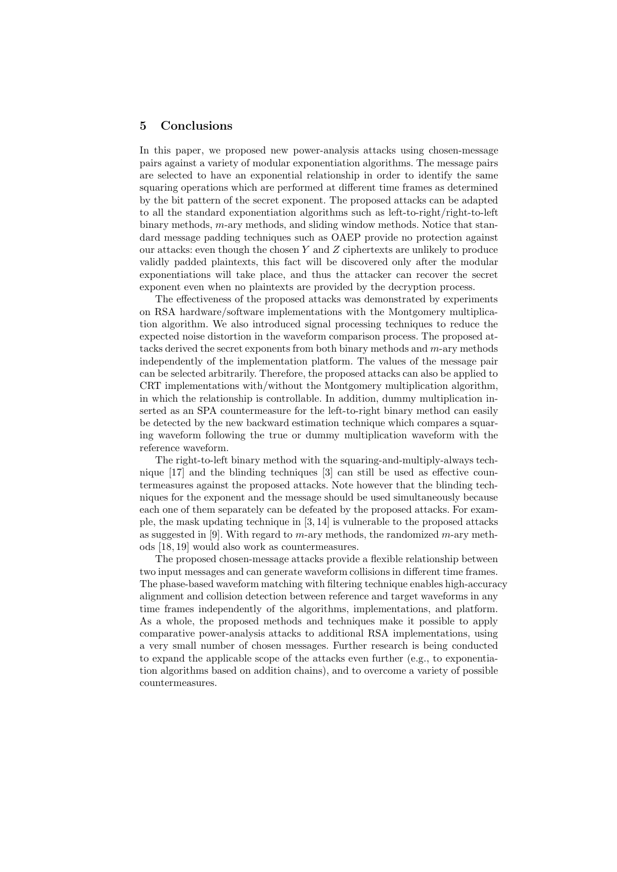# **5 Conclusions**

In this paper, we proposed new power-analysis attacks using chosen-message pairs against a variety of modular exponentiation algorithms. The message pairs are selected to have an exponential relationship in order to identify the same squaring operations which are performed at different time frames as determined by the bit pattern of the secret exponent. The proposed attacks can be adapted to all the standard exponentiation algorithms such as left-to-right/right-to-left binary methods, m-ary methods, and sliding window methods. Notice that standard message padding techniques such as OAEP provide no protection against our attacks: even though the chosen Y and Z ciphertexts are unlikely to produce validly padded plaintexts, this fact will be discovered only after the modular exponentiations will take place, and thus the attacker can recover the secret exponent even when no plaintexts are provided by the decryption process.

The effectiveness of the proposed attacks was demonstrated by experiments on RSA hardware/software implementations with the Montgomery multiplication algorithm. We also introduced signal processing techniques to reduce the expected noise distortion in the waveform comparison process. The proposed attacks derived the secret exponents from both binary methods and m-ary methods independently of the implementation platform. The values of the message pair can be selected arbitrarily. Therefore, the proposed attacks can also be applied to CRT implementations with/without the Montgomery multiplication algorithm, in which the relationship is controllable. In addition, dummy multiplication inserted as an SPA countermeasure for the left-to-right binary method can easily be detected by the new backward estimation technique which compares a squaring waveform following the true or dummy multiplication waveform with the reference waveform.

The right-to-left binary method with the squaring-and-multiply-always technique [17] and the blinding techniques [3] can still be used as effective countermeasures against the proposed attacks. Note however that the blinding techniques for the exponent and the message should be used simultaneously because each one of them separately can be defeated by the proposed attacks. For example, the mask updating technique in [3, 14] is vulnerable to the proposed attacks as suggested in [9]. With regard to m-ary methods, the randomized m-ary methods [18, 19] would also work as countermeasures.

The proposed chosen-message attacks provide a flexible relationship between two input messages and can generate waveform collisions in different time frames. The phase-based waveform matching with filtering technique enables high-accuracy alignment and collision detection between reference and target waveforms in any time frames independently of the algorithms, implementations, and platform. As a whole, the proposed methods and techniques make it possible to apply comparative power-analysis attacks to additional RSA implementations, using a very small number of chosen messages. Further research is being conducted to expand the applicable scope of the attacks even further (e.g., to exponentiation algorithms based on addition chains), and to overcome a variety of possible countermeasures.